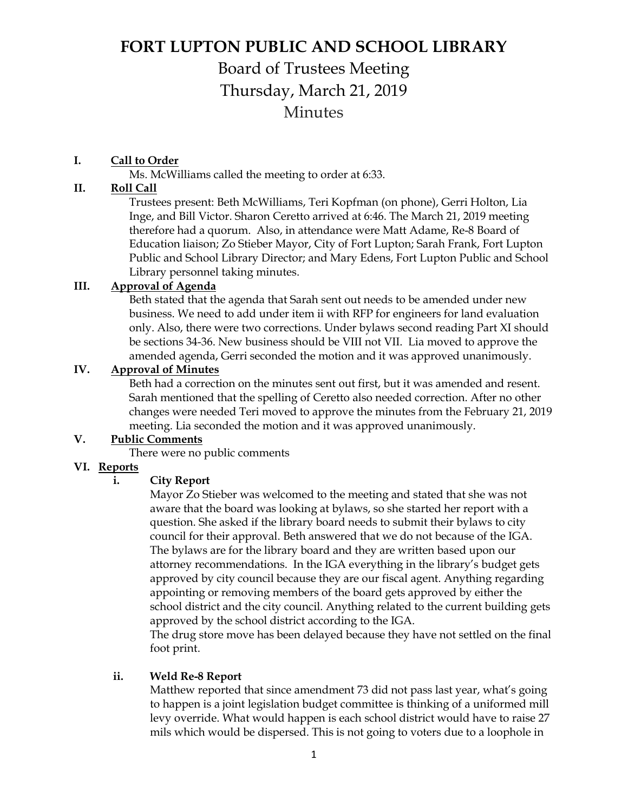# **FORT LUPTON PUBLIC AND SCHOOL LIBRARY**

## Board of Trustees Meeting Thursday, March 21, 2019 **Minutes**

#### **I. Call to Order**

Ms. McWilliams called the meeting to order at 6:33.

#### **II. Roll Call**

Trustees present: Beth McWilliams, Teri Kopfman (on phone), Gerri Holton, Lia Inge, and Bill Victor. Sharon Ceretto arrived at 6:46. The March 21, 2019 meeting therefore had a quorum. Also, in attendance were Matt Adame, Re-8 Board of Education liaison; Zo Stieber Mayor, City of Fort Lupton; Sarah Frank, Fort Lupton Public and School Library Director; and Mary Edens, Fort Lupton Public and School Library personnel taking minutes.

## **III. Approval of Agenda**

Beth stated that the agenda that Sarah sent out needs to be amended under new business. We need to add under item ii with RFP for engineers for land evaluation only. Also, there were two corrections. Under bylaws second reading Part XI should be sections 34-36. New business should be VIII not VII. Lia moved to approve the amended agenda, Gerri seconded the motion and it was approved unanimously.

#### **IV. Approval of Minutes**

Beth had a correction on the minutes sent out first, but it was amended and resent. Sarah mentioned that the spelling of Ceretto also needed correction. After no other changes were needed Teri moved to approve the minutes from the February 21, 2019 meeting. Lia seconded the motion and it was approved unanimously.

#### **V. Public Comments**

There were no public comments

#### **VI. Reports**

#### **i. City Report**

Mayor Zo Stieber was welcomed to the meeting and stated that she was not aware that the board was looking at bylaws, so she started her report with a question. She asked if the library board needs to submit their bylaws to city council for their approval. Beth answered that we do not because of the IGA. The bylaws are for the library board and they are written based upon our attorney recommendations. In the IGA everything in the library's budget gets approved by city council because they are our fiscal agent. Anything regarding appointing or removing members of the board gets approved by either the school district and the city council. Anything related to the current building gets approved by the school district according to the IGA.

The drug store move has been delayed because they have not settled on the final foot print.

#### **ii. Weld Re-8 Report**

Matthew reported that since amendment 73 did not pass last year, what's going to happen is a joint legislation budget committee is thinking of a uniformed mill levy override. What would happen is each school district would have to raise 27 mils which would be dispersed. This is not going to voters due to a loophole in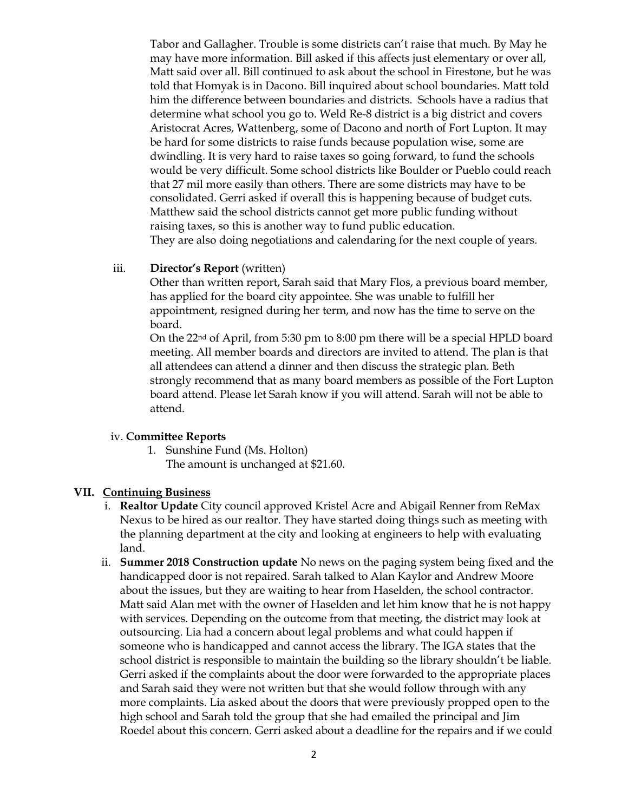Tabor and Gallagher. Trouble is some districts can't raise that much. By May he may have more information. Bill asked if this affects just elementary or over all, Matt said over all. Bill continued to ask about the school in Firestone, but he was told that Homyak is in Dacono. Bill inquired about school boundaries. Matt told him the difference between boundaries and districts. Schools have a radius that determine what school you go to. Weld Re-8 district is a big district and covers Aristocrat Acres, Wattenberg, some of Dacono and north of Fort Lupton. It may be hard for some districts to raise funds because population wise, some are dwindling. It is very hard to raise taxes so going forward, to fund the schools would be very difficult. Some school districts like Boulder or Pueblo could reach that 27 mil more easily than others. There are some districts may have to be consolidated. Gerri asked if overall this is happening because of budget cuts. Matthew said the school districts cannot get more public funding without raising taxes, so this is another way to fund public education. They are also doing negotiations and calendaring for the next couple of years.

#### iii. **Director's Report** (written)

Other than written report, Sarah said that Mary Flos, a previous board member, has applied for the board city appointee. She was unable to fulfill her appointment, resigned during her term, and now has the time to serve on the board.

On the 22nd of April, from 5:30 pm to 8:00 pm there will be a special HPLD board meeting. All member boards and directors are invited to attend. The plan is that all attendees can attend a dinner and then discuss the strategic plan. Beth strongly recommend that as many board members as possible of the Fort Lupton board attend. Please let Sarah know if you will attend. Sarah will not be able to attend.

#### iv. **Committee Reports**

1. Sunshine Fund (Ms. Holton) The amount is unchanged at \$21.60.

#### **VII. Continuing Business**

- i. **Realtor Update** City council approved Kristel Acre and Abigail Renner from ReMax Nexus to be hired as our realtor. They have started doing things such as meeting with the planning department at the city and looking at engineers to help with evaluating land.
- ii. **Summer 2018 Construction update** No news on the paging system being fixed and the handicapped door is not repaired. Sarah talked to Alan Kaylor and Andrew Moore about the issues, but they are waiting to hear from Haselden, the school contractor. Matt said Alan met with the owner of Haselden and let him know that he is not happy with services. Depending on the outcome from that meeting, the district may look at outsourcing. Lia had a concern about legal problems and what could happen if someone who is handicapped and cannot access the library. The IGA states that the school district is responsible to maintain the building so the library shouldn't be liable. Gerri asked if the complaints about the door were forwarded to the appropriate places and Sarah said they were not written but that she would follow through with any more complaints. Lia asked about the doors that were previously propped open to the high school and Sarah told the group that she had emailed the principal and Jim Roedel about this concern. Gerri asked about a deadline for the repairs and if we could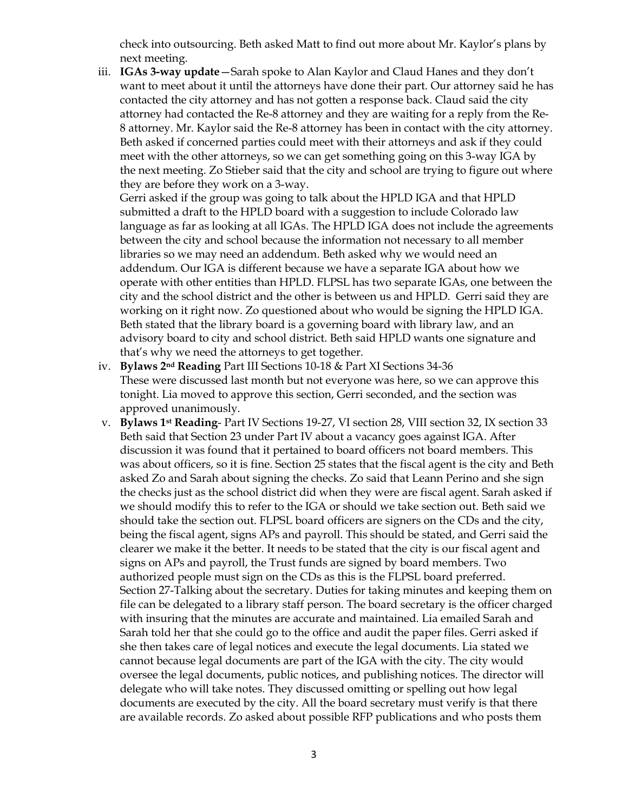check into outsourcing. Beth asked Matt to find out more about Mr. Kaylor's plans by next meeting.

iii. **IGAs 3-way update**—Sarah spoke to Alan Kaylor and Claud Hanes and they don't want to meet about it until the attorneys have done their part. Our attorney said he has contacted the city attorney and has not gotten a response back. Claud said the city attorney had contacted the Re-8 attorney and they are waiting for a reply from the Re-8 attorney. Mr. Kaylor said the Re-8 attorney has been in contact with the city attorney. Beth asked if concerned parties could meet with their attorneys and ask if they could meet with the other attorneys, so we can get something going on this 3-way IGA by the next meeting. Zo Stieber said that the city and school are trying to figure out where they are before they work on a 3-way.

Gerri asked if the group was going to talk about the HPLD IGA and that HPLD submitted a draft to the HPLD board with a suggestion to include Colorado law language as far as looking at all IGAs. The HPLD IGA does not include the agreements between the city and school because the information not necessary to all member libraries so we may need an addendum. Beth asked why we would need an addendum. Our IGA is different because we have a separate IGA about how we operate with other entities than HPLD. FLPSL has two separate IGAs, one between the city and the school district and the other is between us and HPLD. Gerri said they are working on it right now. Zo questioned about who would be signing the HPLD IGA. Beth stated that the library board is a governing board with library law, and an advisory board to city and school district. Beth said HPLD wants one signature and that's why we need the attorneys to get together.

- iv. **Bylaws 2nd Reading** Part III Sections 10-18 & Part XI Sections 34-36 These were discussed last month but not everyone was here, so we can approve this tonight. Lia moved to approve this section, Gerri seconded, and the section was approved unanimously.
- v. **Bylaws 1st Reading** Part IV Sections 19-27, VI section 28, VIII section 32, IX section 33 Beth said that Section 23 under Part IV about a vacancy goes against IGA. After discussion it was found that it pertained to board officers not board members. This was about officers, so it is fine. Section 25 states that the fiscal agent is the city and Beth asked Zo and Sarah about signing the checks. Zo said that Leann Perino and she sign the checks just as the school district did when they were are fiscal agent. Sarah asked if we should modify this to refer to the IGA or should we take section out. Beth said we should take the section out. FLPSL board officers are signers on the CDs and the city, being the fiscal agent, signs APs and payroll. This should be stated, and Gerri said the clearer we make it the better. It needs to be stated that the city is our fiscal agent and signs on APs and payroll, the Trust funds are signed by board members. Two authorized people must sign on the CDs as this is the FLPSL board preferred. Section 27-Talking about the secretary. Duties for taking minutes and keeping them on file can be delegated to a library staff person. The board secretary is the officer charged with insuring that the minutes are accurate and maintained. Lia emailed Sarah and Sarah told her that she could go to the office and audit the paper files. Gerri asked if she then takes care of legal notices and execute the legal documents. Lia stated we cannot because legal documents are part of the IGA with the city. The city would oversee the legal documents, public notices, and publishing notices. The director will delegate who will take notes. They discussed omitting or spelling out how legal documents are executed by the city. All the board secretary must verify is that there are available records. Zo asked about possible RFP publications and who posts them